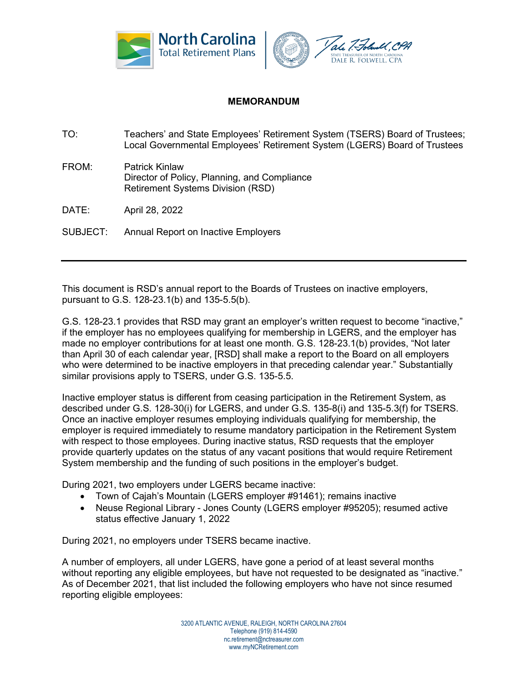

## **MEMORANDUM**

- TO: Teachers' and State Employees' Retirement System (TSERS) Board of Trustees; Local Governmental Employees' Retirement System (LGERS) Board of Trustees
- FROM: Patrick Kinlaw Director of Policy, Planning, and Compliance Retirement Systems Division (RSD)
- DATE: April 28, 2022
- SUBJECT: Annual Report on Inactive Employers

This document is RSD's annual report to the Boards of Trustees on inactive employers, pursuant to G.S. 128-23.1(b) and 135-5.5(b).

G.S. 128-23.1 provides that RSD may grant an employer's written request to become "inactive," if the employer has no employees qualifying for membership in LGERS, and the employer has made no employer contributions for at least one month. G.S. 128-23.1(b) provides, "Not later than April 30 of each calendar year, [RSD] shall make a report to the Board on all employers who were determined to be inactive employers in that preceding calendar year." Substantially similar provisions apply to TSERS, under G.S. 135-5.5.

Inactive employer status is different from ceasing participation in the Retirement System, as described under G.S. 128-30(i) for LGERS, and under G.S. 135-8(i) and 135-5.3(f) for TSERS. Once an inactive employer resumes employing individuals qualifying for membership, the employer is required immediately to resume mandatory participation in the Retirement System with respect to those employees. During inactive status, RSD requests that the employer provide quarterly updates on the status of any vacant positions that would require Retirement System membership and the funding of such positions in the employer's budget.

During 2021, two employers under LGERS became inactive:

- Town of Cajah's Mountain (LGERS employer #91461); remains inactive
- Neuse Regional Library Jones County (LGERS employer #95205); resumed active status effective January 1, 2022

During 2021, no employers under TSERS became inactive.

A number of employers, all under LGERS, have gone a period of at least several months without reporting any eligible employees, but have not requested to be designated as "inactive." As of December 2021, that list included the following employers who have not since resumed reporting eligible employees:

> 3200 ATLANTIC AVENUE, RALEIGH, NORTH CAROLINA 27604 Telephone (919) 814-4590 nc.retirement@nctreasurer.com www.myNCRetirement.com